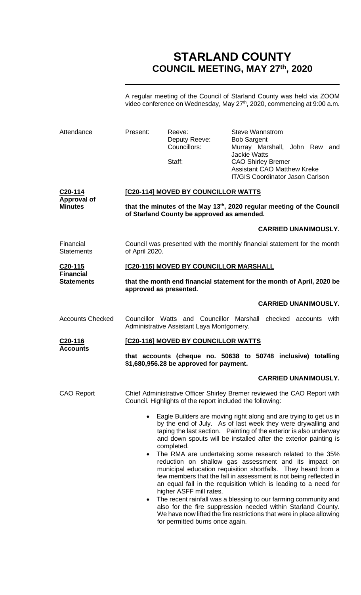# **STARLAND COUNTY COUNCIL MEETING, MAY 27th, 2020**

A regular meeting of the Council of Starland County was held via ZOOM video conference on Wednesday, May 27<sup>th</sup>, 2020, commencing at 9:00 a.m.

| Attendance                            | Present:                                                                                                                         | Reeve:<br>Deputy Reeve:<br>Councillors:<br>Staff:                                                                                                                                                                                                                                                                                                                                                                                                                                                                                                                                                                                                                                                                                                                                                                                                                                                | <b>Steve Wannstrom</b><br><b>Bob Sargent</b><br><b>Jackie Watts</b><br><b>CAO Shirley Bremer</b><br><b>Assistant CAO Matthew Kreke</b> | Murray Marshall, John Rew and<br><b>IT/GIS Coordinator Jason Carlson</b> |
|---------------------------------------|----------------------------------------------------------------------------------------------------------------------------------|--------------------------------------------------------------------------------------------------------------------------------------------------------------------------------------------------------------------------------------------------------------------------------------------------------------------------------------------------------------------------------------------------------------------------------------------------------------------------------------------------------------------------------------------------------------------------------------------------------------------------------------------------------------------------------------------------------------------------------------------------------------------------------------------------------------------------------------------------------------------------------------------------|----------------------------------------------------------------------------------------------------------------------------------------|--------------------------------------------------------------------------|
| C <sub>20</sub> -114                  | <b>[C20-114] MOVED BY COUNCILLOR WATTS</b>                                                                                       |                                                                                                                                                                                                                                                                                                                                                                                                                                                                                                                                                                                                                                                                                                                                                                                                                                                                                                  |                                                                                                                                        |                                                                          |
| <b>Approval of</b><br><b>Minutes</b>  | that the minutes of the May 13 <sup>th</sup> , 2020 regular meeting of the Council<br>of Starland County be approved as amended. |                                                                                                                                                                                                                                                                                                                                                                                                                                                                                                                                                                                                                                                                                                                                                                                                                                                                                                  |                                                                                                                                        |                                                                          |
|                                       |                                                                                                                                  |                                                                                                                                                                                                                                                                                                                                                                                                                                                                                                                                                                                                                                                                                                                                                                                                                                                                                                  |                                                                                                                                        | <b>CARRIED UNANIMOUSLY.</b>                                              |
| Financial<br><b>Statements</b>        | Council was presented with the monthly financial statement for the month<br>of April 2020.                                       |                                                                                                                                                                                                                                                                                                                                                                                                                                                                                                                                                                                                                                                                                                                                                                                                                                                                                                  |                                                                                                                                        |                                                                          |
| C <sub>20</sub> -115                  |                                                                                                                                  | [C20-115] MOVED BY COUNCILLOR MARSHALL                                                                                                                                                                                                                                                                                                                                                                                                                                                                                                                                                                                                                                                                                                                                                                                                                                                           |                                                                                                                                        |                                                                          |
| <b>Financial</b><br><b>Statements</b> | that the month end financial statement for the month of April, 2020 be<br>approved as presented.                                 |                                                                                                                                                                                                                                                                                                                                                                                                                                                                                                                                                                                                                                                                                                                                                                                                                                                                                                  |                                                                                                                                        |                                                                          |
|                                       |                                                                                                                                  |                                                                                                                                                                                                                                                                                                                                                                                                                                                                                                                                                                                                                                                                                                                                                                                                                                                                                                  |                                                                                                                                        | <b>CARRIED UNANIMOUSLY.</b>                                              |
| <b>Accounts Checked</b>               |                                                                                                                                  | Councillor Watts and Councillor Marshall checked accounts with<br>Administrative Assistant Laya Montgomery.                                                                                                                                                                                                                                                                                                                                                                                                                                                                                                                                                                                                                                                                                                                                                                                      |                                                                                                                                        |                                                                          |
| C <sub>20</sub> -116                  | [C20-116] MOVED BY COUNCILLOR WATTS                                                                                              |                                                                                                                                                                                                                                                                                                                                                                                                                                                                                                                                                                                                                                                                                                                                                                                                                                                                                                  |                                                                                                                                        |                                                                          |
| <b>Accounts</b>                       |                                                                                                                                  | that accounts (cheque no. 50638 to 50748 inclusive) totalling<br>\$1,680,956.28 be approved for payment.                                                                                                                                                                                                                                                                                                                                                                                                                                                                                                                                                                                                                                                                                                                                                                                         |                                                                                                                                        |                                                                          |
|                                       |                                                                                                                                  |                                                                                                                                                                                                                                                                                                                                                                                                                                                                                                                                                                                                                                                                                                                                                                                                                                                                                                  |                                                                                                                                        | <b>CARRIED UNANIMOUSLY.</b>                                              |
| <b>CAO Report</b>                     |                                                                                                                                  | Chief Administrative Officer Shirley Bremer reviewed the CAO Report with<br>Council. Highlights of the report included the following:                                                                                                                                                                                                                                                                                                                                                                                                                                                                                                                                                                                                                                                                                                                                                            |                                                                                                                                        |                                                                          |
|                                       | $\bullet$<br>$\bullet$                                                                                                           | Eagle Builders are moving right along and are trying to get us in<br>by the end of July. As of last week they were drywalling and<br>taping the last section. Painting of the exterior is also underway<br>and down spouts will be installed after the exterior painting is<br>completed.<br>The RMA are undertaking some research related to the 35%<br>reduction on shallow gas assessment and its impact on<br>municipal education requisition shortfalls. They heard from a<br>few members that the fall in assessment is not being reflected in<br>an equal fall in the requisition which is leading to a need for<br>higher ASFF mill rates.<br>The recent rainfall was a blessing to our farming community and<br>also for the fire suppression needed within Starland County.<br>We have now lifted the fire restrictions that were in place allowing<br>for permitted burns once again. |                                                                                                                                        |                                                                          |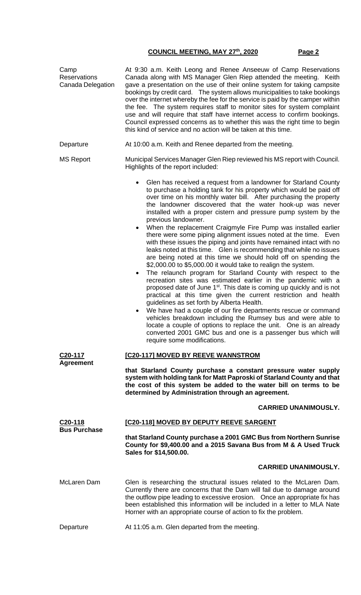| Camp<br><b>Reservations</b><br>Canada Delegation                                                                                                                  | At 9:30 a.m. Keith Leong and Renee Anseeuw of Camp Reservations<br>Canada along with MS Manager Glen Riep attended the meeting. Keith<br>gave a presentation on the use of their online system for taking campsite<br>bookings by credit card.  The system allows municipalities to take bookings<br>over the internet whereby the fee for the service is paid by the camper within<br>the fee. The system requires staff to monitor sites for system complaint<br>use and will require that staff have internet access to confirm bookings.<br>Council expressed concerns as to whether this was the right time to begin<br>this kind of service and no action will be taken at this time.                                                                                                                                                                                                                                                                                                                                                                                                                                                                                                                                                                                                                                                                                                                                                            |  |  |
|-------------------------------------------------------------------------------------------------------------------------------------------------------------------|--------------------------------------------------------------------------------------------------------------------------------------------------------------------------------------------------------------------------------------------------------------------------------------------------------------------------------------------------------------------------------------------------------------------------------------------------------------------------------------------------------------------------------------------------------------------------------------------------------------------------------------------------------------------------------------------------------------------------------------------------------------------------------------------------------------------------------------------------------------------------------------------------------------------------------------------------------------------------------------------------------------------------------------------------------------------------------------------------------------------------------------------------------------------------------------------------------------------------------------------------------------------------------------------------------------------------------------------------------------------------------------------------------------------------------------------------------|--|--|
| Departure                                                                                                                                                         | At 10:00 a.m. Keith and Renee departed from the meeting.                                                                                                                                                                                                                                                                                                                                                                                                                                                                                                                                                                                                                                                                                                                                                                                                                                                                                                                                                                                                                                                                                                                                                                                                                                                                                                                                                                                               |  |  |
| <b>MS Report</b>                                                                                                                                                  | Municipal Services Manager Glen Riep reviewed his MS report with Council.<br>Highlights of the report included:                                                                                                                                                                                                                                                                                                                                                                                                                                                                                                                                                                                                                                                                                                                                                                                                                                                                                                                                                                                                                                                                                                                                                                                                                                                                                                                                        |  |  |
|                                                                                                                                                                   | Glen has received a request from a landowner for Starland County<br>to purchase a holding tank for his property which would be paid off<br>over time on his monthly water bill. After purchasing the property<br>the landowner discovered that the water hook-up was never<br>installed with a proper cistern and pressure pump system by the<br>previous landowner.<br>When the replacement Craigmyle Fire Pump was installed earlier<br>there were some piping alignment issues noted at the time. Even<br>with these issues the piping and joints have remained intact with no<br>leaks noted at this time. Glen is recommending that while no issues<br>are being noted at this time we should hold off on spending the<br>\$2,000.00 to \$5,000.00 it would take to realign the system.<br>The relaunch program for Starland County with respect to the<br>$\bullet$<br>recreation sites was estimated earlier in the pandemic with a<br>proposed date of June 1 <sup>st</sup> . This date is coming up quickly and is not<br>practical at this time given the current restriction and health<br>guidelines as set forth by Alberta Health.<br>We have had a couple of our fire departments rescue or command<br>vehicles breakdown including the Rumsey bus and were able to<br>locate a couple of options to replace the unit. One is an already<br>converted 2001 GMC bus and one is a passenger bus which will<br>require some modifications. |  |  |
| C20-117                                                                                                                                                           | [C20-117] MOVED BY REEVE WANNSTROM                                                                                                                                                                                                                                                                                                                                                                                                                                                                                                                                                                                                                                                                                                                                                                                                                                                                                                                                                                                                                                                                                                                                                                                                                                                                                                                                                                                                                     |  |  |
| <b>Agreement</b>                                                                                                                                                  | that Starland County purchase a constant pressure water supply<br>system with holding tank for Matt Paproski of Starland County and that<br>the cost of this system be added to the water bill on terms to be<br>determined by Administration through an agreement.                                                                                                                                                                                                                                                                                                                                                                                                                                                                                                                                                                                                                                                                                                                                                                                                                                                                                                                                                                                                                                                                                                                                                                                    |  |  |
|                                                                                                                                                                   | <b>CARRIED UNANIMOUSLY.</b>                                                                                                                                                                                                                                                                                                                                                                                                                                                                                                                                                                                                                                                                                                                                                                                                                                                                                                                                                                                                                                                                                                                                                                                                                                                                                                                                                                                                                            |  |  |
| C20-118<br><b>Bus Purchase</b>                                                                                                                                    | [C20-118] MOVED BY DEPUTY REEVE SARGENT                                                                                                                                                                                                                                                                                                                                                                                                                                                                                                                                                                                                                                                                                                                                                                                                                                                                                                                                                                                                                                                                                                                                                                                                                                                                                                                                                                                                                |  |  |
| that Starland County purchase a 2001 GMC Bus from Northern Sunrise<br>County for \$9,400.00 and a 2015 Savana Bus from M & A Used Truck<br>Sales for \$14,500.00. |                                                                                                                                                                                                                                                                                                                                                                                                                                                                                                                                                                                                                                                                                                                                                                                                                                                                                                                                                                                                                                                                                                                                                                                                                                                                                                                                                                                                                                                        |  |  |
|                                                                                                                                                                   | <b>CARRIED UNANIMOUSLY.</b>                                                                                                                                                                                                                                                                                                                                                                                                                                                                                                                                                                                                                                                                                                                                                                                                                                                                                                                                                                                                                                                                                                                                                                                                                                                                                                                                                                                                                            |  |  |
| <b>McLaren Dam</b>                                                                                                                                                | Glen is researching the structural issues related to the McLaren Dam.<br>Currently there are concerns that the Dam will fail due to damage around<br>the outflow pipe leading to excessive erosion. Once an appropriate fix has<br>been established this information will be included in a letter to MLA Nate<br>Horner with an appropriate course of action to fix the problem.                                                                                                                                                                                                                                                                                                                                                                                                                                                                                                                                                                                                                                                                                                                                                                                                                                                                                                                                                                                                                                                                       |  |  |
| Departure                                                                                                                                                         | At 11:05 a.m. Glen departed from the meeting.                                                                                                                                                                                                                                                                                                                                                                                                                                                                                                                                                                                                                                                                                                                                                                                                                                                                                                                                                                                                                                                                                                                                                                                                                                                                                                                                                                                                          |  |  |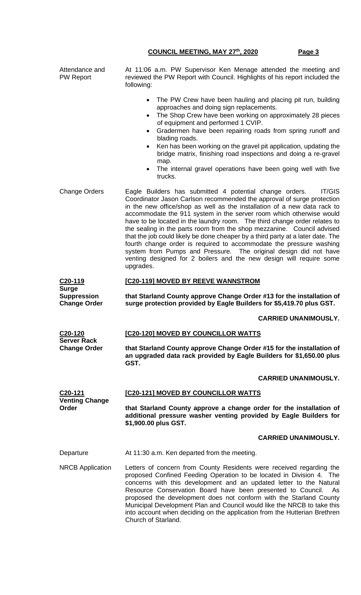| Attendance and<br><b>PW Report</b>                        | At 11:06 a.m. PW Supervisor Ken Menage attended the meeting and<br>reviewed the PW Report with Council. Highlights of his report included the<br>following:                                                                                                                                                                                                                                                                                                                                                                                                                                                                                                                                                                                                                    |  |  |  |
|-----------------------------------------------------------|--------------------------------------------------------------------------------------------------------------------------------------------------------------------------------------------------------------------------------------------------------------------------------------------------------------------------------------------------------------------------------------------------------------------------------------------------------------------------------------------------------------------------------------------------------------------------------------------------------------------------------------------------------------------------------------------------------------------------------------------------------------------------------|--|--|--|
|                                                           | The PW Crew have been hauling and placing pit run, building<br>$\bullet$<br>approaches and doing sign replacements.<br>The Shop Crew have been working on approximately 28 pieces<br>$\bullet$<br>of equipment and performed 1 CVIP.<br>Gradermen have been repairing roads from spring runoff and<br>$\bullet$<br>blading roads.<br>Ken has been working on the gravel pit application, updating the<br>$\bullet$<br>bridge matrix, finishing road inspections and doing a re-gravel<br>map.<br>The internal gravel operations have been going well with five<br>$\bullet$<br>trucks.                                                                                                                                                                                         |  |  |  |
| <b>Change Orders</b>                                      | <b>IT/GIS</b><br>Eagle Builders has submitted 4 potential change orders.<br>Coordinator Jason Carlson recommended the approval of surge protection<br>in the new office/shop as well as the installation of a new data rack to<br>accommodate the 911 system in the server room which otherwise would<br>have to be located in the laundry room. The third change order relates to<br>the sealing in the parts room from the shop mezzanine. Council advised<br>that the job could likely be done cheaper by a third party at a later date. The<br>fourth change order is required to accommodate the pressure washing<br>system from Pumps and Pressure. The original design did not have<br>venting designed for 2 boilers and the new design will require some<br>upgrades. |  |  |  |
| C <sub>20</sub> -119                                      | [C20-119] MOVED BY REEVE WANNSTROM                                                                                                                                                                                                                                                                                                                                                                                                                                                                                                                                                                                                                                                                                                                                             |  |  |  |
| <b>Surge</b><br><b>Suppression</b><br><b>Change Order</b> | that Starland County approve Change Order #13 for the installation of<br>surge protection provided by Eagle Builders for \$5,419.70 plus GST.                                                                                                                                                                                                                                                                                                                                                                                                                                                                                                                                                                                                                                  |  |  |  |
|                                                           | <b>CARRIED UNANIMOUSLY.</b>                                                                                                                                                                                                                                                                                                                                                                                                                                                                                                                                                                                                                                                                                                                                                    |  |  |  |
|                                                           |                                                                                                                                                                                                                                                                                                                                                                                                                                                                                                                                                                                                                                                                                                                                                                                |  |  |  |
| C <sub>20</sub> -120                                      | [C20-120] MOVED BY COUNCILLOR WATTS                                                                                                                                                                                                                                                                                                                                                                                                                                                                                                                                                                                                                                                                                                                                            |  |  |  |
| <b>Server Rack</b><br><b>Change Order</b>                 | that Starland County approve Change Order #15 for the installation of<br>an upgraded data rack provided by Eagle Builders for \$1,650.00 plus<br>GST.                                                                                                                                                                                                                                                                                                                                                                                                                                                                                                                                                                                                                          |  |  |  |
|                                                           | <b>CARRIED UNANIMOUSLY.</b>                                                                                                                                                                                                                                                                                                                                                                                                                                                                                                                                                                                                                                                                                                                                                    |  |  |  |
| C20-121                                                   | [C20-121] MOVED BY COUNCILLOR WATTS                                                                                                                                                                                                                                                                                                                                                                                                                                                                                                                                                                                                                                                                                                                                            |  |  |  |
| <b>Venting Change</b><br>Order                            | that Starland County approve a change order for the installation of<br>additional pressure washer venting provided by Eagle Builders for<br>\$1,900.00 plus GST.                                                                                                                                                                                                                                                                                                                                                                                                                                                                                                                                                                                                               |  |  |  |
|                                                           | <b>CARRIED UNANIMOUSLY.</b>                                                                                                                                                                                                                                                                                                                                                                                                                                                                                                                                                                                                                                                                                                                                                    |  |  |  |
| Departure                                                 | At 11:30 a.m. Ken departed from the meeting.                                                                                                                                                                                                                                                                                                                                                                                                                                                                                                                                                                                                                                                                                                                                   |  |  |  |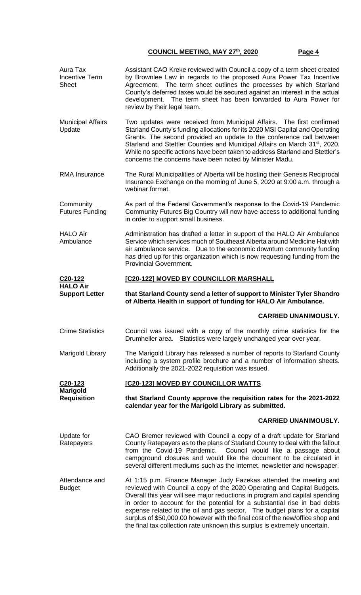| Aura Tax<br><b>Incentive Term</b><br><b>Sheet</b> | Assistant CAO Kreke reviewed with Council a copy of a term sheet created<br>by Brownlee Law in regards to the proposed Aura Power Tax Incentive<br>The term sheet outlines the processes by which Starland<br>Agreement.<br>County's deferred taxes would be secured against an interest in the actual<br>development. The term sheet has been forwarded to Aura Power for<br>review by their legal team.                                                                                                                                             |  |  |
|---------------------------------------------------|-------------------------------------------------------------------------------------------------------------------------------------------------------------------------------------------------------------------------------------------------------------------------------------------------------------------------------------------------------------------------------------------------------------------------------------------------------------------------------------------------------------------------------------------------------|--|--|
| <b>Municipal Affairs</b><br>Update                | Two updates were received from Municipal Affairs. The first confirmed<br>Starland County's funding allocations for its 2020 MSI Capital and Operating<br>Grants. The second provided an update to the conference call between<br>Starland and Stettler Counties and Municipal Affairs on March 31 <sup>st</sup> , 2020.<br>While no specific actions have been taken to address Starland and Stettler's<br>concerns the concerns have been noted by Minister Madu.                                                                                    |  |  |
| <b>RMA Insurance</b>                              | The Rural Municipalities of Alberta will be hosting their Genesis Reciprocal<br>Insurance Exchange on the morning of June 5, 2020 at 9:00 a.m. through a<br>webinar format.                                                                                                                                                                                                                                                                                                                                                                           |  |  |
| Community<br><b>Futures Funding</b>               | As part of the Federal Government's response to the Covid-19 Pandemic<br>Community Futures Big Country will now have access to additional funding<br>in order to support small business.                                                                                                                                                                                                                                                                                                                                                              |  |  |
| <b>HALO Air</b><br>Ambulance                      | Administration has drafted a letter in support of the HALO Air Ambulance<br>Service which services much of Southeast Alberta around Medicine Hat with<br>air ambulance service. Due to the economic downturn community funding<br>has dried up for this organization which is now requesting funding from the<br><b>Provincial Government.</b>                                                                                                                                                                                                        |  |  |
| C <sub>20</sub> -122<br><b>HALO Air</b>           | [C20-122] MOVED BY COUNCILLOR MARSHALL                                                                                                                                                                                                                                                                                                                                                                                                                                                                                                                |  |  |
| <b>Support Letter</b>                             | that Starland County send a letter of support to Minister Tyler Shandro<br>of Alberta Health in support of funding for HALO Air Ambulance.                                                                                                                                                                                                                                                                                                                                                                                                            |  |  |
|                                                   | <b>CARRIED UNANIMOUSLY.</b>                                                                                                                                                                                                                                                                                                                                                                                                                                                                                                                           |  |  |
| <b>Crime Statistics</b>                           | Council was issued with a copy of the monthly crime statistics for the<br>Drumheller area. Statistics were largely unchanged year over year.                                                                                                                                                                                                                                                                                                                                                                                                          |  |  |
| Marigold Library                                  | The Marigold Library has released a number of reports to Starland County<br>including a system profile brochure and a number of information sheets.<br>Additionally the 2021-2022 requisition was issued.                                                                                                                                                                                                                                                                                                                                             |  |  |
| C <sub>20</sub> -123<br><b>Marigold</b>           | [C20-123] MOVED BY COUNCILLOR WATTS                                                                                                                                                                                                                                                                                                                                                                                                                                                                                                                   |  |  |
| <b>Requisition</b>                                | that Starland County approve the requisition rates for the 2021-2022<br>calendar year for the Marigold Library as submitted.                                                                                                                                                                                                                                                                                                                                                                                                                          |  |  |
|                                                   | <b>CARRIED UNANIMOUSLY.</b>                                                                                                                                                                                                                                                                                                                                                                                                                                                                                                                           |  |  |
| Update for<br>Ratepayers                          | CAO Bremer reviewed with Council a copy of a draft update for Starland<br>County Ratepayers as to the plans of Starland County to deal with the fallout<br>from the Covid-19 Pandemic. Council would like a passage about<br>campground closures and would like the document to be circulated in<br>several different mediums such as the internet, newsletter and newspaper.                                                                                                                                                                         |  |  |
| Attendance and<br><b>Budget</b>                   | At 1:15 p.m. Finance Manager Judy Fazekas attended the meeting and<br>reviewed with Council a copy of the 2020 Operating and Capital Budgets.<br>Overall this year will see major reductions in program and capital spending<br>in order to account for the potential for a substantial rise in bad debts<br>expense related to the oil and gas sector. The budget plans for a capital<br>surplus of \$50,000.00 however with the final cost of the new/office shop and<br>the final tax collection rate unknown this surplus is extremely uncertain. |  |  |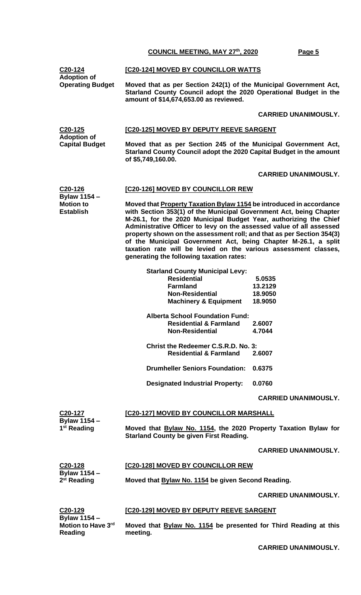| C20-124<br><b>Adoption of</b>                               | [C20-124] MOVED BY COUNCILLOR WATTS                                                                                                                                                                                                                                                                                                                                                                                                                                                                                                                     |                                         |  |  |
|-------------------------------------------------------------|---------------------------------------------------------------------------------------------------------------------------------------------------------------------------------------------------------------------------------------------------------------------------------------------------------------------------------------------------------------------------------------------------------------------------------------------------------------------------------------------------------------------------------------------------------|-----------------------------------------|--|--|
| <b>Operating Budget</b>                                     | Moved that as per Section 242(1) of the Municipal Government Act,<br>Starland County Council adopt the 2020 Operational Budget in the<br>amount of \$14,674,653.00 as reviewed.                                                                                                                                                                                                                                                                                                                                                                         |                                         |  |  |
|                                                             |                                                                                                                                                                                                                                                                                                                                                                                                                                                                                                                                                         | <b>CARRIED UNANIMOUSLY.</b>             |  |  |
| $C20-125$                                                   | [C20-125] MOVED BY DEPUTY REEVE SARGENT                                                                                                                                                                                                                                                                                                                                                                                                                                                                                                                 |                                         |  |  |
| <b>Adoption of</b><br><b>Capital Budget</b>                 | Moved that as per Section 245 of the Municipal Government Act,<br>Starland County Council adopt the 2020 Capital Budget in the amount<br>of \$5,749,160.00.                                                                                                                                                                                                                                                                                                                                                                                             |                                         |  |  |
|                                                             |                                                                                                                                                                                                                                                                                                                                                                                                                                                                                                                                                         | <b>CARRIED UNANIMOUSLY.</b>             |  |  |
| C20-126                                                     | [C20-126] MOVED BY COUNCILLOR REW                                                                                                                                                                                                                                                                                                                                                                                                                                                                                                                       |                                         |  |  |
| <b>Bylaw 1154 -</b><br><b>Motion to</b><br><b>Establish</b> | Moved that <b>Property Taxation Bylaw 1154</b> be introduced in accordance<br>with Section 353(1) of the Municipal Government Act, being Chapter<br>M-26.1, for the 2020 Municipal Budget Year, authorizing the Chief<br>Administrative Officer to levy on the assessed value of all assessed<br>property shown on the assessment roll; and that as per Section 354(3)<br>of the Municipal Government Act, being Chapter M-26.1, a split<br>taxation rate will be levied on the various assessment classes,<br>generating the following taxation rates: |                                         |  |  |
|                                                             | <b>Starland County Municipal Levy:</b><br><b>Residential</b><br><b>Farmland</b><br><b>Non-Residential</b><br><b>Machinery &amp; Equipment</b>                                                                                                                                                                                                                                                                                                                                                                                                           | 5.0535<br>13.2129<br>18.9050<br>18.9050 |  |  |
|                                                             | <b>Alberta School Foundation Fund:</b><br><b>Residential &amp; Farmland</b><br><b>Non-Residential</b>                                                                                                                                                                                                                                                                                                                                                                                                                                                   | 2.6007<br>4.7044                        |  |  |
|                                                             | <b>Christ the Redeemer C.S.R.D. No. 3:</b><br><b>Residential &amp; Farmland</b>                                                                                                                                                                                                                                                                                                                                                                                                                                                                         | 2.6007                                  |  |  |
|                                                             | <b>Drumheller Seniors Foundation:</b>                                                                                                                                                                                                                                                                                                                                                                                                                                                                                                                   | 0.6375                                  |  |  |
|                                                             | <b>Designated Industrial Property:</b>                                                                                                                                                                                                                                                                                                                                                                                                                                                                                                                  | 0.0760                                  |  |  |
|                                                             |                                                                                                                                                                                                                                                                                                                                                                                                                                                                                                                                                         | <b>CARRIED UNANIMOUSLY.</b>             |  |  |
| C20-127                                                     | [C20-127] MOVED BY COUNCILLOR MARSHALL                                                                                                                                                                                                                                                                                                                                                                                                                                                                                                                  |                                         |  |  |
| <b>Bylaw 1154 -</b><br>1 <sup>st</sup> Reading              | Moved that <b>Bylaw No. 1154</b> , the 2020 Property Taxation Bylaw for<br><b>Starland County be given First Reading.</b>                                                                                                                                                                                                                                                                                                                                                                                                                               |                                         |  |  |
|                                                             |                                                                                                                                                                                                                                                                                                                                                                                                                                                                                                                                                         | <b>CARRIED UNANIMOUSLY.</b>             |  |  |
| C20-128<br><b>Bylaw 1154 -</b>                              | [C20-128] MOVED BY COUNCILLOR REW                                                                                                                                                                                                                                                                                                                                                                                                                                                                                                                       |                                         |  |  |
| 2 <sup>st</sup> Reading                                     | Moved that Bylaw No. 1154 be given Second Reading.                                                                                                                                                                                                                                                                                                                                                                                                                                                                                                      |                                         |  |  |
|                                                             |                                                                                                                                                                                                                                                                                                                                                                                                                                                                                                                                                         | <b>CARRIED UNANIMOUSLY.</b>             |  |  |
| C20-129<br>Bylaw 1154 -                                     | [C20-129] MOVED BY DEPUTY REEVE SARGENT                                                                                                                                                                                                                                                                                                                                                                                                                                                                                                                 |                                         |  |  |

**Moved that Bylaw No. 1154 be presented for Third Reading at this meeting.**

**Motion to Have 3rd**

**Reading**

**CARRIED UNANIMOUSLY.**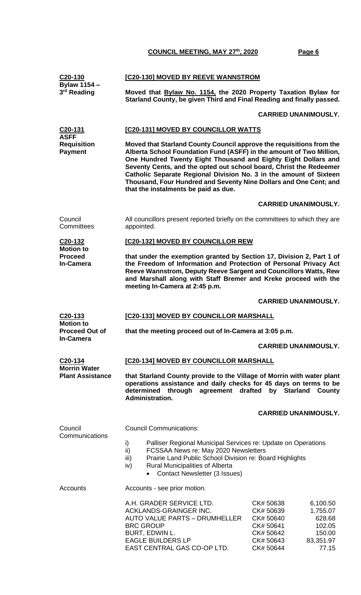| C <sub>20</sub> -130                                | [C20-130] MOVED BY REEVE WANNSTROM                                                                                                                                                                                                                                                                                                                                                                                                                                     |                                                                                                                                                                     |  |  |
|-----------------------------------------------------|------------------------------------------------------------------------------------------------------------------------------------------------------------------------------------------------------------------------------------------------------------------------------------------------------------------------------------------------------------------------------------------------------------------------------------------------------------------------|---------------------------------------------------------------------------------------------------------------------------------------------------------------------|--|--|
| <b>Bylaw 1154 -</b><br>3 <sup>rd</sup> Reading      | Moved that Bylaw No. 1154, the 2020 Property Taxation Bylaw for<br>Starland County, be given Third and Final Reading and finally passed.                                                                                                                                                                                                                                                                                                                               |                                                                                                                                                                     |  |  |
|                                                     |                                                                                                                                                                                                                                                                                                                                                                                                                                                                        | <b>CARRIED UNANIMOUSLY.</b>                                                                                                                                         |  |  |
| C <sub>20</sub> -131                                | [C20-131] MOVED BY COUNCILLOR WATTS                                                                                                                                                                                                                                                                                                                                                                                                                                    |                                                                                                                                                                     |  |  |
| <b>ASFF</b><br><b>Requisition</b><br><b>Payment</b> | Moved that Starland County Council approve the requisitions from the<br>Alberta School Foundation Fund (ASFF) in the amount of Two Million,<br>One Hundred Twenty Eight Thousand and Eighty Eight Dollars and<br>Seventy Cents, and the opted out school board, Christ the Redeemer<br>Catholic Separate Regional Division No. 3 in the amount of Sixteen<br>Thousand, Four Hundred and Seventy Nine Dollars and One Cent; and<br>that the instalments be paid as due. |                                                                                                                                                                     |  |  |
|                                                     |                                                                                                                                                                                                                                                                                                                                                                                                                                                                        | <b>CARRIED UNANIMOUSLY.</b>                                                                                                                                         |  |  |
| Council<br>Committees                               | All councillors present reported briefly on the committees to which they are<br>appointed.                                                                                                                                                                                                                                                                                                                                                                             |                                                                                                                                                                     |  |  |
| C <sub>20</sub> -132<br><b>Motion to</b>            | [C20-132] MOVED BY COUNCILLOR REW                                                                                                                                                                                                                                                                                                                                                                                                                                      |                                                                                                                                                                     |  |  |
| <b>Proceed</b><br><b>In-Camera</b>                  | that under the exemption granted by Section 17, Division 2, Part 1 of<br>the Freedom of Information and Protection of Personal Privacy Act<br>Reeve Wannstrom, Deputy Reeve Sargent and Councillors Watts, Rew<br>and Marshall along with Staff Bremer and Kreke proceed with the<br>meeting In-Camera at 2:45 p.m.                                                                                                                                                    |                                                                                                                                                                     |  |  |
|                                                     |                                                                                                                                                                                                                                                                                                                                                                                                                                                                        | <b>CARRIED UNANIMOUSLY.</b>                                                                                                                                         |  |  |
| C20-133                                             | [C20-133] MOVED BY COUNCILLOR MARSHALL                                                                                                                                                                                                                                                                                                                                                                                                                                 |                                                                                                                                                                     |  |  |
| <b>Motion to</b><br><b>Proceed Out of</b>           | that the meeting proceed out of In-Camera at 3:05 p.m.                                                                                                                                                                                                                                                                                                                                                                                                                 |                                                                                                                                                                     |  |  |
| <b>In-Camera</b>                                    |                                                                                                                                                                                                                                                                                                                                                                                                                                                                        | <b>CARRIED UNANIMOUSLY.</b>                                                                                                                                         |  |  |
| C <sub>20</sub> -134<br><b>Morrin Water</b>         | [C20-134] MOVED BY COUNCILLOR MARSHALL                                                                                                                                                                                                                                                                                                                                                                                                                                 |                                                                                                                                                                     |  |  |
| <b>Plant Assistance</b>                             | that Starland County provide to the Village of Morrin with water plant<br>operations assistance and daily checks for 45 days on terms to be<br>determined through agreement drafted<br>by Starland County<br>Administration.                                                                                                                                                                                                                                           |                                                                                                                                                                     |  |  |
|                                                     |                                                                                                                                                                                                                                                                                                                                                                                                                                                                        | <b>CARRIED UNANIMOUSLY.</b>                                                                                                                                         |  |  |
| Council                                             | <b>Council Communications:</b>                                                                                                                                                                                                                                                                                                                                                                                                                                         |                                                                                                                                                                     |  |  |
| Communications                                      | Palliser Regional Municipal Services re: Update on Operations<br>i)<br>ii)<br>FCSSAA News re: May 2020 Newsletters<br>Prairie Land Public School Division re: Board Highlights<br>iii)<br>iv)<br><b>Rural Municipalities of Alberta</b><br><b>Contact Newsletter (3 Issues)</b>                                                                                                                                                                                        |                                                                                                                                                                     |  |  |
| <b>Accounts</b>                                     | Accounts - see prior motion.                                                                                                                                                                                                                                                                                                                                                                                                                                           |                                                                                                                                                                     |  |  |
|                                                     | A.H. GRADER SERVICE LTD.<br>ACKLANDS-GRAINGER INC.<br><b>AUTO VALUE PARTS - DRUMHELLER</b><br><b>BRC GROUP</b><br>BURT, EDWIN L.<br><b>EAGLE BUILDERS LP</b><br>EAST CENTRAL GAS CO-OP LTD.                                                                                                                                                                                                                                                                            | CK# 50638<br>6,100.50<br>1,755.07<br>CK# 50639<br>628.68<br>CK# 50640<br>CK# 50641<br>102.05<br>CK# 50642<br>150.00<br>CK# 50643<br>83,351.97<br>CK# 50644<br>77.15 |  |  |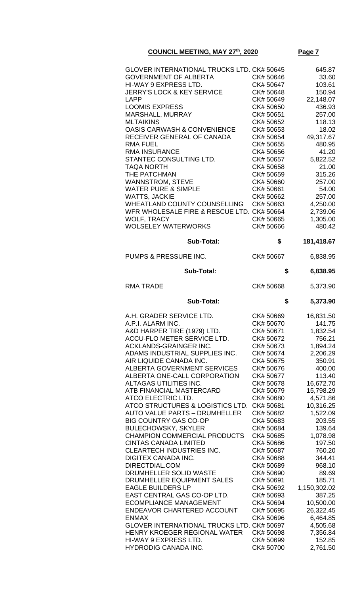| GLOVER INTERNATIONAL TRUCKS LTD. CK# 50645<br><b>GOVERNMENT OF ALBERTA</b><br>HI-WAY 9 EXPRESS LTD.<br><b>JERRY'S LOCK &amp; KEY SERVICE</b><br><b>LAPP</b><br><b>LOOMIS EXPRESS</b> | CK# 50646<br>CK# 50647<br>CK# 50648<br>CK# 50649<br>CK# 50650 | 645.87<br>33.60<br>103.61<br>150.94<br>22,148.07<br>436.93 |
|--------------------------------------------------------------------------------------------------------------------------------------------------------------------------------------|---------------------------------------------------------------|------------------------------------------------------------|
| MARSHALL, MURRAY<br><b>MLTAIKINS</b><br><b>OASIS CARWASH &amp; CONVENIENCE</b><br>RECEIVER GENERAL OF CANADA                                                                         | CK# 50651<br>CK# 50652<br>CK# 50653<br>CK# 50654              | 257.00<br>118.13<br>18.02<br>49,317.67                     |
| <b>RMA FUEL</b><br><b>RMA INSURANCE</b><br>STANTEC CONSULTING LTD.<br><b>TAQA NORTH</b><br>THE PATCHMAN                                                                              | CK# 50655<br>CK# 50656<br>CK# 50657<br>CK# 50658<br>CK# 50659 | 480.95<br>41.20<br>5,822.52<br>21.00<br>315.26             |
| WANNSTROM, STEVE<br><b>WATER PURE &amp; SIMPLE</b><br><b>WATTS, JACKIE</b><br>WHEATLAND COUNTY COUNSELLING                                                                           | CK# 50660<br>CK# 50661<br>CK# 50662<br>CK# 50663              | 257.00<br>54.00<br>257.00<br>4,250.00                      |
| WFR WHOLESALE FIRE & RESCUE LTD. CK# 50664<br><b>WOLF, TRACY</b><br><b>WOLSELEY WATERWORKS</b>                                                                                       | CK# 50665<br>CK# 50666                                        | 2,739.06<br>1,305.00<br>480.42                             |
| <b>Sub-Total:</b>                                                                                                                                                                    | \$                                                            | 181,418.67                                                 |
| PUMPS & PRESSURE INC.                                                                                                                                                                | CK# 50667                                                     | 6,838.95                                                   |
| <b>Sub-Total:</b><br><b>RMA TRADE</b>                                                                                                                                                | \$<br>CK# 50668                                               | 6,838.95<br>5,373.90                                       |
| <b>Sub-Total:</b>                                                                                                                                                                    | \$                                                            | 5,373.90                                                   |
|                                                                                                                                                                                      |                                                               |                                                            |
|                                                                                                                                                                                      |                                                               |                                                            |
| A.H. GRADER SERVICE LTD.<br>A.P.I. ALARM INC.                                                                                                                                        | CK# 50669<br>CK# 50670                                        | 16,831.50<br>141.75                                        |
| A&D HARPER TIRE (1979) LTD.                                                                                                                                                          | CK# 50671                                                     | 1,832.54                                                   |
| ACCU-FLO METER SERVICE LTD.                                                                                                                                                          | CK# 50672                                                     | 756.21                                                     |
| <b>ACKLANDS-GRAINGER INC.</b>                                                                                                                                                        | CK# 50673                                                     | 1,894.24                                                   |
| ADAMS INDUSTRIAL SUPPLIES INC.                                                                                                                                                       | CK# 50674                                                     | 2,206.29                                                   |
| AIR LIQUIDE CANADA INC.                                                                                                                                                              | CK# 50675                                                     | 350.91                                                     |
| <b>ALBERTA GOVERNMENT SERVICES</b>                                                                                                                                                   | CK# 50676                                                     | 400.00                                                     |
| ALBERTA ONE-CALL CORPORATION<br>ALTAGAS UTILITIES INC.                                                                                                                               | CK# 50677<br>CK# 50678                                        | 113.40<br>16,672.70                                        |
| ATB FINANCIAL MASTERCARD                                                                                                                                                             | CK# 50679                                                     | 15,798.29                                                  |
| ATCO ELECTRIC LTD.                                                                                                                                                                   | CK# 50680                                                     | 4,571.86                                                   |
| ATCO STRUCTURES & LOGISTICS LTD.                                                                                                                                                     | CK# 50681                                                     | 10,316.25                                                  |
| <b>AUTO VALUE PARTS - DRUMHELLER</b>                                                                                                                                                 | CK# 50682                                                     | 1,522.09                                                   |
| <b>BIG COUNTRY GAS CO-OP</b>                                                                                                                                                         | CK# 50683                                                     | 203.55                                                     |
| <b>BULECHOWSKY, SKYLER</b>                                                                                                                                                           | CK# 50684                                                     | 139.64                                                     |
| <b>CHAMPION COMMERCIAL PRODUCTS</b>                                                                                                                                                  | CK# 50685                                                     | 1,078.98                                                   |
| <b>CINTAS CANADA LIMITED</b>                                                                                                                                                         | CK# 50686                                                     | 197.50                                                     |
| <b>CLEARTECH INDUSTRIES INC.</b>                                                                                                                                                     | CK# 50687                                                     | 760.20                                                     |
| <b>DIGITEX CANADA INC.</b>                                                                                                                                                           | CK# 50688                                                     | 344.41                                                     |
| DIRECTDIAL.COM<br>DRUMHELLER SOLID WASTE                                                                                                                                             | CK# 50689<br>CK# 50690                                        | 968.10<br>89.69                                            |
| DRUMHELLER EQUIPMENT SALES                                                                                                                                                           | CK# 50691                                                     | 185.71                                                     |
| <b>EAGLE BUILDERS LP</b>                                                                                                                                                             | CK# 50692                                                     | 1,150,302.02                                               |
| EAST CENTRAL GAS CO-OP LTD.                                                                                                                                                          | CK# 50693                                                     | 387.25                                                     |
| <b>ECOMPLIANCE MANAGEMENT</b>                                                                                                                                                        | CK# 50694                                                     | 10,500.00                                                  |
| ENDEAVOR CHARTERED ACCOUNT                                                                                                                                                           | CK# 50695                                                     | 26,322.45                                                  |
| <b>ENMAX</b>                                                                                                                                                                         | CK# 50696                                                     | 6,464.85                                                   |
| GLOVER INTERNATIONAL TRUCKS LTD. CK# 50697                                                                                                                                           |                                                               | 4,505.68                                                   |
| HENRY KROEGER REGIONAL WATER<br>HI-WAY 9 EXPRESS LTD.                                                                                                                                | CK# 50698<br>CK# 50699                                        | 7,356.84<br>152.85                                         |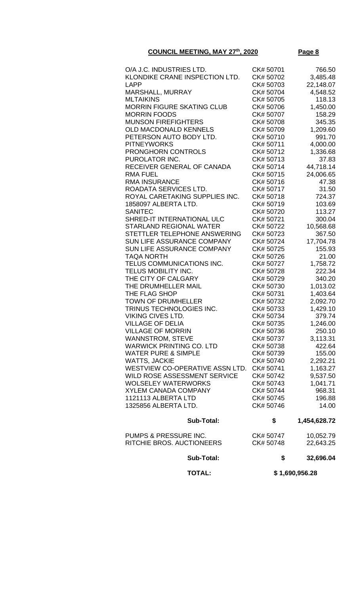| O/A J.C. INDUSTRIES LTD.                            | CK# 50701              | 766.50             |
|-----------------------------------------------------|------------------------|--------------------|
| KLONDIKE CRANE INSPECTION LTD.                      | CK# 50702              | 3,485.48           |
| LAPP                                                | CK# 50703              | 22,148.07          |
| MARSHALL, MURRAY                                    | CK# 50704              | 4,548.52           |
| <b>MLTAIKINS</b>                                    | CK# 50705              | 118.13             |
| <b>MORRIN FIGURE SKATING CLUB</b>                   | CK# 50706              | 1,450.00           |
| <b>MORRIN FOODS</b>                                 | CK# 50707              | 158.29             |
| <b>MUNSON FIREFIGHTERS</b><br>OLD MACDONALD KENNELS | CK# 50708<br>CK# 50709 | 345.35<br>1,209.60 |
| PETERSON AUTO BODY LTD.                             | CK# 50710              | 991.70             |
| <b>PITNEYWORKS</b>                                  | CK# 50711              | 4,000.00           |
| <b>PRONGHORN CONTROLS</b>                           | CK# 50712              | 1,336.68           |
| PUROLATOR INC.                                      | CK# 50713              | 37.83              |
| RECEIVER GENERAL OF CANADA                          | CK# 50714              | 44,718.14          |
| <b>RMA FUEL</b>                                     | CK# 50715              | 24,006.65          |
| <b>RMA INSURANCE</b>                                | CK# 50716              | 47.38              |
| ROADATA SERVICES LTD.                               | CK# 50717              | 31.50              |
| ROYAL CARETAKING SUPPLIES INC.                      | CK# 50718              | 724.37             |
| 1858097 ALBERTA LTD.                                | CK# 50719              | 103.69             |
| <b>SANITEC</b>                                      | CK# 50720              | 113.27             |
| SHRED-IT INTERNATIONAL ULC                          | CK# 50721              | 300.04             |
| <b>STARLAND REGIONAL WATER</b>                      | CK# 50722              | 10,568.68          |
| STETTLER TELEPHONE ANSWERING                        | CK# 50723              | 367.50             |
| SUN LIFE ASSURANCE COMPANY                          | CK# 50724              | 17,704.78          |
| SUN LIFE ASSURANCE COMPANY                          | CK# 50725              | 155.93             |
| <b>TAQA NORTH</b>                                   | CK# 50726              | 21.00              |
| TELUS COMMUNICATIONS INC.                           | CK# 50727              | 1,758.72           |
| TELUS MOBILITY INC.                                 | CK# 50728              | 222.34             |
| THE CITY OF CALGARY                                 | CK# 50729              | 340.20             |
| THE DRUMHELLER MAIL                                 | CK# 50730              | 1,013.02           |
| THE FLAG SHOP                                       | CK# 50731              | 1,403.64           |
| <b>TOWN OF DRUMHELLER</b>                           | CK# 50732              | 2,092.70           |
| TRINUS TECHNOLOGIES INC.                            | CK# 50733              | 1,429.10           |
| <b>VIKING CIVES LTD.</b>                            | CK# 50734              | 379.74             |
| <b>VILLAGE OF DELIA</b>                             | CK# 50735              | 1,246.00           |
| VILLAGE OF MORRIN<br><b>WANNSTROM, STEVE</b>        | CK# 50736<br>CK# 50737 | 250.10<br>3,113.31 |
| <b>WARWICK PRINTING CO. LTD</b>                     | CK# 50738              | 422.64             |
| <b>WATER PURE &amp; SIMPLE</b>                      | CK# 50739              | 155.00             |
| <b>WATTS, JACKIE</b>                                | CK# 50740              | 2,292.21           |
| WESTVIEW CO-OPERATIVE ASSN LTD.                     | CK# 50741              | 1,163.27           |
| WILD ROSE ASSESSMENT SERVICE                        | CK# 50742              | 9,537.50           |
| <b>WOLSELEY WATERWORKS</b>                          | CK# 50743              | 1,041.71           |
| <b>XYLEM CANADA COMPANY</b>                         | CK# 50744              | 968.31             |
| 1121113 ALBERTA LTD                                 | CK# 50745              | 196.88             |
| 1325856 ALBERTA LTD.                                | CK# 50746              | 14.00              |
| <b>Sub-Total:</b>                                   | \$                     | 1,454,628.72       |
| PUMPS & PRESSURE INC.                               | CK# 50747              | 10,052.79          |
| RITCHIE BROS. AUCTIONEERS                           | CK# 50748              | 22,643.25          |
| <b>Sub-Total:</b>                                   | \$                     | 32,696.04          |
| <b>TOTAL:</b>                                       |                        | \$1,690,956.28     |